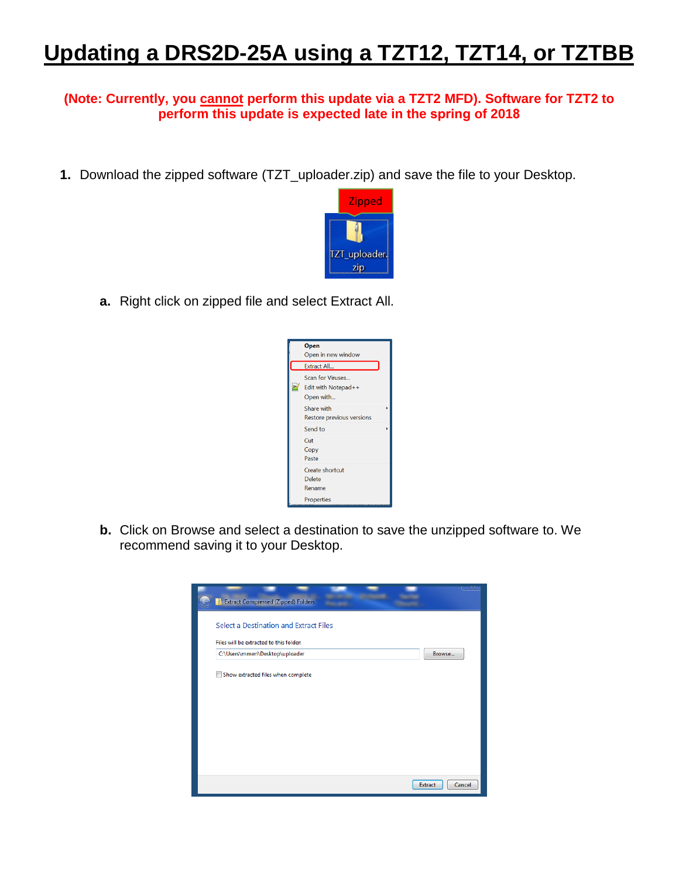## **Updating a DRS2D-25A using a TZT12, TZT14, or TZTBB**

## **(Note: Currently, you cannot perform this update via a TZT2 MFD). Software for TZT2 to perform this update is expected late in the spring of 2018**

**1.** Download the zipped software (TZT\_uploader.zip) and save the file to your Desktop.



**a.** Right click on zipped file and select Extract All.



**b.** Click on Browse and select a destination to save the unzipped software to. We recommend saving it to your Desktop.

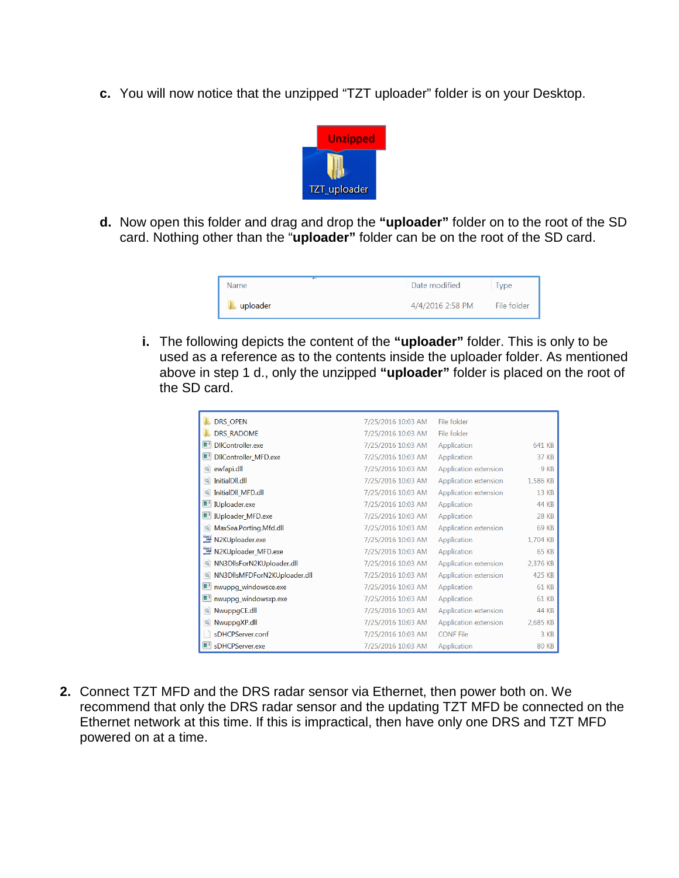**c.** You will now notice that the unzipped "TZT uploader" folder is on your Desktop.



**d.** Now open this folder and drag and drop the **"uploader"** folder on to the root of the SD card. Nothing other than the "**uploader"** folder can be on the root of the SD card.

| <b>Name</b> | Date modified    | ype         |
|-------------|------------------|-------------|
| uploader    | 4/4/2016 2:58 PM | File folder |

**i.** The following depicts the content of the **"uploader"** folder. This is only to be used as a reference as to the contents inside the uploader folder. As mentioned above in step 1 d., only the unzipped **"uploader"** folder is placed on the root of the SD card.

| <b>DRS OPEN</b>                        | 7/25/2016 10:03 AM | File folder           |              |
|----------------------------------------|--------------------|-----------------------|--------------|
| <b>DRS RADOME</b>                      | 7/25/2016 10:03 AM | File folder           |              |
| OB.<br>DIIController.exe               | 7/25/2016 10:03 AM | Application           | 641 KB       |
| DIController MFD.exe                   | 7/25/2016 10:03 AM | Application           | 37 KB        |
| ewfapi.dll                             | 7/25/2016 10:03 AM | Application extension | 9 KB         |
| InitialDll.dll                         | 7/25/2016 10:03 AM | Application extension | 1,586 KB     |
| InitialDII MFD.dll                     | 7/25/2016 10:03 AM | Application extension | 13 KB        |
| Uploader.exe                           | 7/25/2016 10:03 AM | Application           | 44 KB        |
| <b>UNIVERSITY IUploader MFD.exe</b>    | 7/25/2016 10:03 AM | Application           | <b>28 KB</b> |
| MaxSea.Porting.Mfd.dll                 | 7/25/2016 10:03 AM | Application extension | 69 KB        |
| <b>NMEA</b><br>2000<br>N2KUploader.exe | 7/25/2016 10:03 AM | Application           | 1,704 KB     |
| N2KUploader_MFD.exe                    | 7/25/2016 10:03 AM | Application           | <b>65 KB</b> |
| NN3DllsForN2KUploader.dll              | 7/25/2016 10:03 AM | Application extension | 2,376 KB     |
| NN3DllsMFDForN2KUploader.dll           | 7/25/2016 10:03 AM | Application extension | 425 KB       |
| nwuppg_windowsce.exe                   | 7/25/2016 10:03 AM | Application           | 61 KB        |
| nwuppg windowsxp.exe                   | 7/25/2016 10:03 AM | Application           | <b>61 KB</b> |
| NwuppgCE.dll                           | 7/25/2016 10:03 AM | Application extension | 44 KB        |
| NwuppgXP.dll                           | 7/25/2016 10:03 AM | Application extension | 2,685 KB     |
| sDHCPServer.conf                       | 7/25/2016 10:03 AM | <b>CONF File</b>      | 3 KB         |
| I' sDHCPServer.exe                     | 7/25/2016 10:03 AM | Application           | <b>80 KB</b> |

**2.** Connect TZT MFD and the DRS radar sensor via Ethernet, then power both on. We recommend that only the DRS radar sensor and the updating TZT MFD be connected on the Ethernet network at this time. If this is impractical, then have only one DRS and TZT MFD powered on at a time.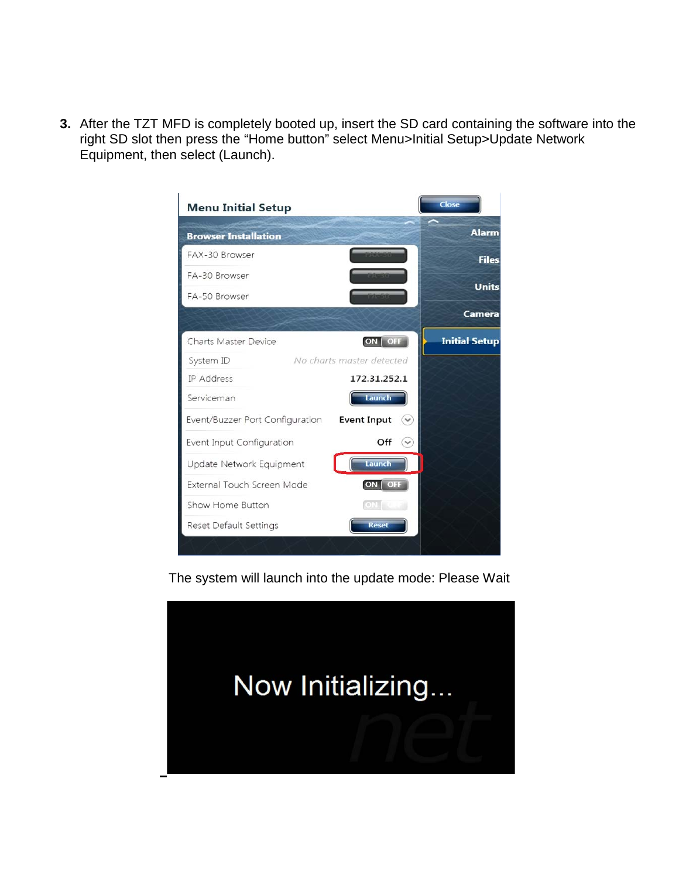**3.** After the TZT MFD is completely booted up, insert the SD card containing the software into the right SD slot then press the "Home button" select Menu>Initial Setup>Update Network Equipment, then select (Launch).



The system will launch into the update mode: Please Wait

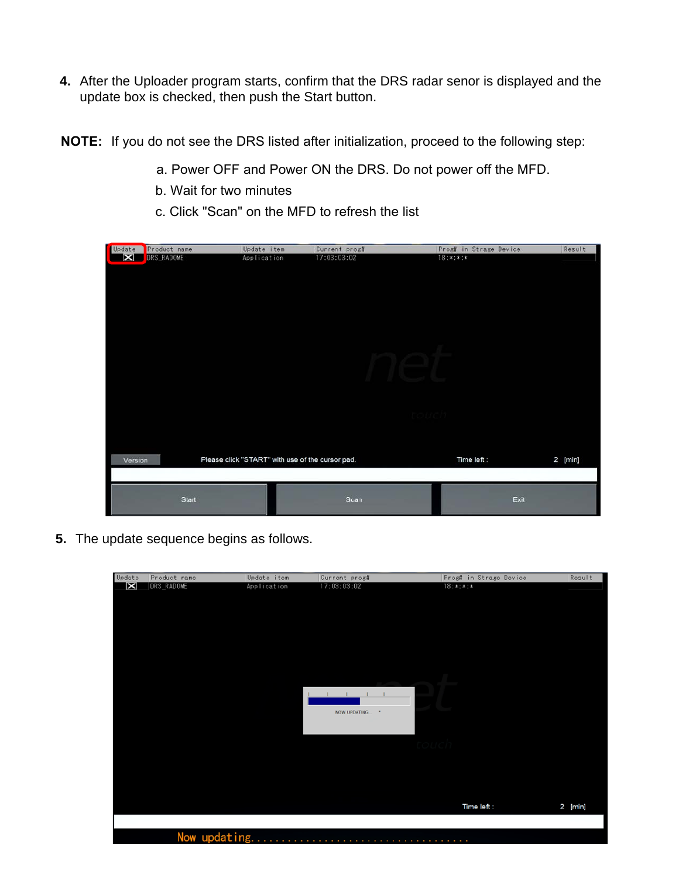- **4.** After the Uploader program starts, confirm that the DRS radar senor is displayed and the update box is checked, then push the Start button.
- **NOTE:** If you do not see the DRS listed after initialization, proceed to the following step:
	- a. Power OFF and Power ON the DRS. Do not power off the MFD.
	- b. Wait for two minutes
	- c. Click "Scan" on the MFD to refresh the list

| Update                 | Product name | Update item                                      | Current pros# | Prost in Strase Device | Result  |
|------------------------|--------------|--------------------------------------------------|---------------|------------------------|---------|
| $\vert\mathbf{x}\vert$ | DRS_RADOME   | Application                                      | 17:03:03:02   | $18:***:***$           |         |
|                        |              |                                                  |               |                        |         |
|                        |              |                                                  |               |                        |         |
|                        |              |                                                  |               |                        |         |
|                        |              |                                                  |               |                        |         |
|                        |              |                                                  |               |                        |         |
|                        |              |                                                  |               |                        |         |
|                        |              |                                                  |               |                        |         |
|                        |              |                                                  |               |                        |         |
|                        |              |                                                  |               |                        |         |
|                        |              |                                                  |               |                        |         |
|                        |              |                                                  |               |                        |         |
|                        |              |                                                  |               |                        |         |
|                        |              |                                                  |               |                        |         |
|                        |              |                                                  |               |                        |         |
|                        |              |                                                  |               |                        |         |
|                        |              |                                                  |               |                        |         |
|                        |              |                                                  |               |                        |         |
|                        |              |                                                  |               |                        |         |
| Version                |              | Please click "START" with use of the cursor pad. |               | Time left:             | 2 [min] |
|                        |              |                                                  |               |                        |         |
|                        |              |                                                  |               |                        |         |
|                        |              |                                                  |               |                        |         |
|                        | Start        |                                                  | Scan          | Exit                   |         |
|                        |              |                                                  |               |                        |         |

**5.** The update sequence begins as follows.

| $\boxtimes$<br>DRS_RADOME<br>and the control of the<br>NOW UPDATING<br>- 1<br>Time left : | Update | Product name | Update item | Current prog# | Prog# in Strage Device | Result  |
|-------------------------------------------------------------------------------------------|--------|--------------|-------------|---------------|------------------------|---------|
|                                                                                           |        |              | Application | 17:03:03:02   | $18:***:*$             |         |
|                                                                                           |        |              |             |               |                        |         |
|                                                                                           |        |              |             |               |                        |         |
|                                                                                           |        |              |             |               |                        |         |
|                                                                                           |        |              |             |               |                        |         |
|                                                                                           |        |              |             |               |                        |         |
|                                                                                           |        |              |             |               |                        |         |
|                                                                                           |        |              |             |               |                        |         |
|                                                                                           |        |              |             |               |                        |         |
|                                                                                           |        |              |             |               |                        |         |
|                                                                                           |        |              |             |               |                        |         |
|                                                                                           |        |              |             |               |                        |         |
|                                                                                           |        |              |             |               |                        |         |
|                                                                                           |        |              |             |               |                        |         |
|                                                                                           |        |              |             |               |                        |         |
|                                                                                           |        |              |             |               |                        |         |
|                                                                                           |        |              |             |               |                        |         |
|                                                                                           |        |              |             |               |                        |         |
|                                                                                           |        |              |             |               |                        |         |
|                                                                                           |        |              |             |               |                        |         |
|                                                                                           |        |              |             |               |                        |         |
|                                                                                           |        |              |             |               |                        | 2 [min] |
|                                                                                           |        |              |             |               |                        |         |
| Now updating                                                                              |        |              |             |               |                        |         |